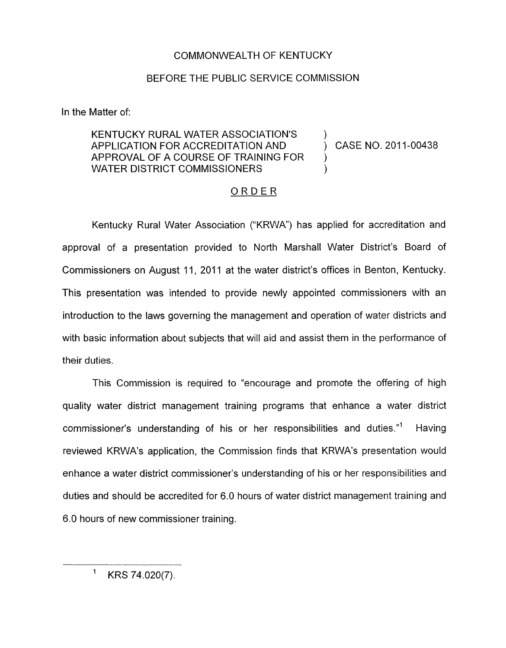## COMMONWEALTH OF KENTUCKY

## BEFORE THE PUBLIC SERVICE COMMISSION

In the Matter of:

## KENTUCKY RURAL WATER ASSOCIATION'S ) APPLICATION FOR ACCREDITATION AND (CASE NO. 2011-00438) APPROVAL OF A COURSE OF TRAINING FOR ) WATER DISTRICT COMMISSIONERS

## ORDER

Kentucky Rural Water Association ("KRWA') has applied for accreditation and approval of a presentation provided to North Marshall Water District's Board of Commissioners on August 11, 2011 at the water district's offices in Benton, Kentucky. This presentation was intended to provide newly appointed commissioners with an introduction to the laws governing the management and operation of water districts and with basic information about subjects that will aid and assist them in the performance of their duties.

This Commission is required to "encourage and promote the offering of high quality water district management training programs that enhance a water district commissioner's understanding of his or her responsibilities and duties."' Having reviewed KRWA's application, the Commission finds that KRWA's presentation would enhance a water district commissioner's understanding of his or her responsibilities and duties and should be accredited for 6.0 hours of water district management training and 6.0 hours of new commissioner training.

KRS 74.020(7).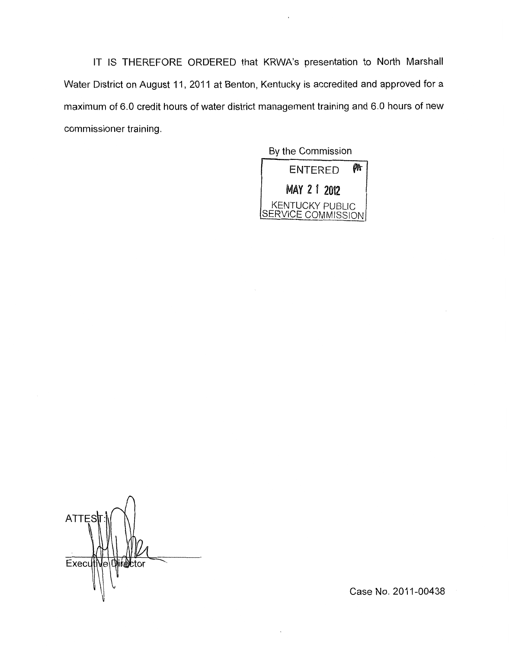IT IS THEREFORE ORDERED that KRWA's presentation to North Marshall Water District on August 11, 2011 at Benton, Kentucky is accredited and approved for a maximum of 6.0 credit hours of water district management training and 6.0 hours of new commissioner training.



 $\wedge$ **ATTES** Executive Director

Case No. 2011-00438